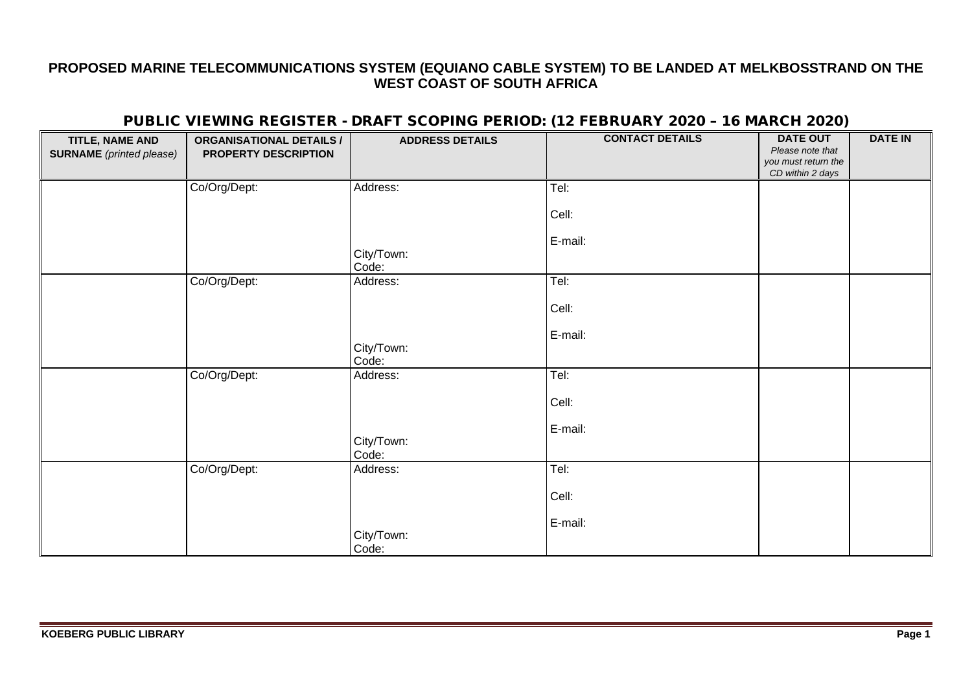# PUBLIC VIEWING REGISTER - DRAFT SCOPING PERIOD: (12 FEBRUARY 2020 – 16 MARCH 2020)

| TITLE, NAME AND<br><b>SURNAME</b> (printed please) | <b>ORGANISATIONAL DETAILS /</b><br>PROPERTY DESCRIPTION | <b>ADDRESS DETAILS</b> | <b>CONTACT DETAILS</b> | <b>DATE OUT</b><br>Please note that<br>you must return the<br>CD within 2 days | <b>DATE IN</b> |
|----------------------------------------------------|---------------------------------------------------------|------------------------|------------------------|--------------------------------------------------------------------------------|----------------|
|                                                    | Co/Org/Dept:                                            | Address:               | Tel:                   |                                                                                |                |
|                                                    |                                                         |                        | Cell:                  |                                                                                |                |
|                                                    |                                                         |                        | E-mail:                |                                                                                |                |
|                                                    |                                                         | City/Town:<br>Code:    |                        |                                                                                |                |
|                                                    | Co/Org/Dept:                                            | Address:               | Tel:                   |                                                                                |                |
|                                                    |                                                         |                        | Cell:                  |                                                                                |                |
|                                                    |                                                         |                        | E-mail:                |                                                                                |                |
|                                                    |                                                         | City/Town:<br>Code:    |                        |                                                                                |                |
|                                                    | Co/Org/Dept:                                            | Address:               | Tel:                   |                                                                                |                |
|                                                    |                                                         |                        | Cell:                  |                                                                                |                |
|                                                    |                                                         |                        | E-mail:                |                                                                                |                |
|                                                    |                                                         | City/Town:<br>Code:    |                        |                                                                                |                |
|                                                    | Co/Org/Dept:                                            | Address:               | Tel:                   |                                                                                |                |
|                                                    |                                                         |                        | Cell:                  |                                                                                |                |
|                                                    |                                                         |                        | E-mail:                |                                                                                |                |
|                                                    |                                                         | City/Town:<br>Code:    |                        |                                                                                |                |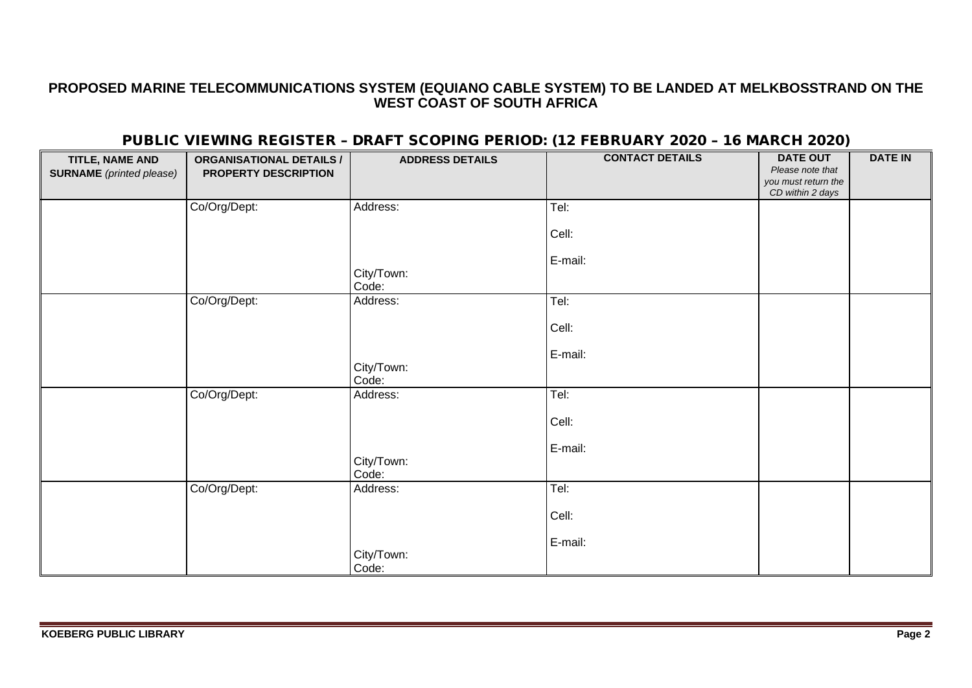| TITLE, NAME AND<br><b>SURNAME</b> (printed please) | <b>ORGANISATIONAL DETAILS /</b><br><b>PROPERTY DESCRIPTION</b> | <b>ADDRESS DETAILS</b> | <b>CONTACT DETAILS</b> | <b>DATE OUT</b><br>Please note that<br>you must return the | <b>DATE IN</b> |
|----------------------------------------------------|----------------------------------------------------------------|------------------------|------------------------|------------------------------------------------------------|----------------|
|                                                    |                                                                |                        |                        | CD within 2 days                                           |                |
|                                                    | Co/Org/Dept:                                                   | Address:               | Tel:                   |                                                            |                |
|                                                    |                                                                |                        | Cell:                  |                                                            |                |
|                                                    |                                                                |                        | E-mail:                |                                                            |                |
|                                                    |                                                                | City/Town:<br>Code:    |                        |                                                            |                |
|                                                    | Co/Org/Dept:                                                   | Address:               | Tel:                   |                                                            |                |
|                                                    |                                                                |                        | Cell:                  |                                                            |                |
|                                                    |                                                                |                        | E-mail:                |                                                            |                |
|                                                    |                                                                | City/Town:<br>Code:    |                        |                                                            |                |
|                                                    | Co/Org/Dept:                                                   | Address:               | Tel:                   |                                                            |                |
|                                                    |                                                                |                        | Cell:                  |                                                            |                |
|                                                    |                                                                |                        | E-mail:                |                                                            |                |
|                                                    |                                                                | City/Town:<br>Code:    |                        |                                                            |                |
|                                                    | Co/Org/Dept:                                                   | Address:               | Tel:                   |                                                            |                |
|                                                    |                                                                |                        | Cell:                  |                                                            |                |
|                                                    |                                                                |                        | E-mail:                |                                                            |                |
|                                                    |                                                                | City/Town:<br>Code:    |                        |                                                            |                |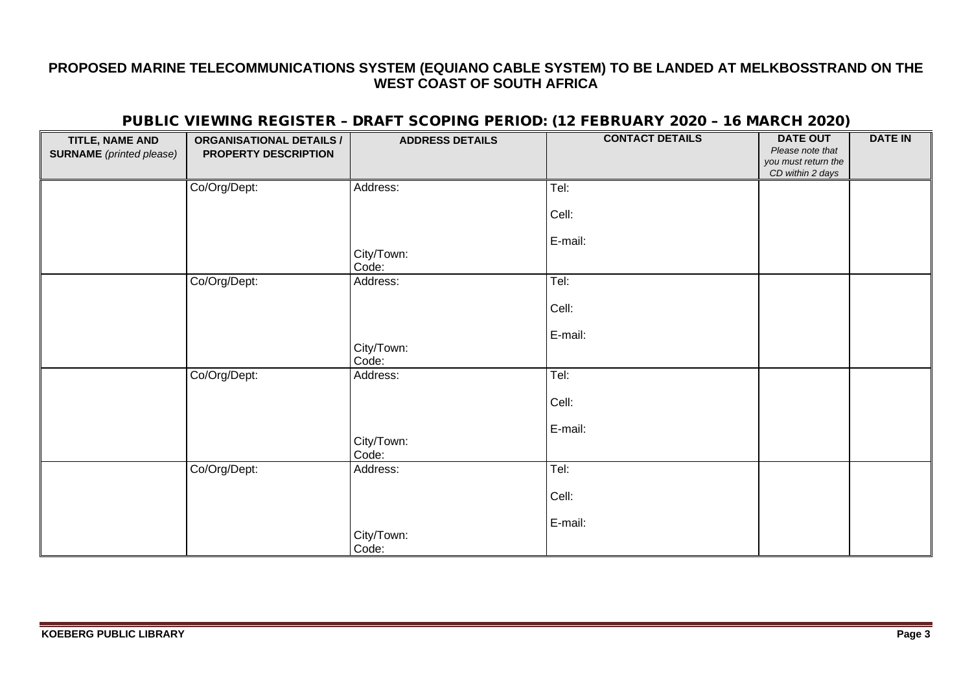## PUBLIC VIEWING REGISTER – DRAFT SCOPING PERIOD: (12 FEBRUARY 2020 – 16 MARCH 2020)

| TITLE, NAME AND<br><b>SURNAME</b> (printed please) | <b>ORGANISATIONAL DETAILS /</b><br>PROPERTY DESCRIPTION | <b>ADDRESS DETAILS</b> | <b>CONTACT DETAILS</b> | <b>DATE OUT</b><br>Please note that<br>you must return the<br>CD within 2 days | <b>DATE IN</b> |
|----------------------------------------------------|---------------------------------------------------------|------------------------|------------------------|--------------------------------------------------------------------------------|----------------|
|                                                    | Co/Org/Dept:                                            | Address:               | Tel:                   |                                                                                |                |
|                                                    |                                                         |                        |                        |                                                                                |                |
|                                                    |                                                         |                        | Cell:                  |                                                                                |                |
|                                                    |                                                         |                        | E-mail:                |                                                                                |                |
|                                                    |                                                         | City/Town:<br>Code:    |                        |                                                                                |                |
|                                                    | Co/Org/Dept:                                            | Address:               | Tel:                   |                                                                                |                |
|                                                    |                                                         |                        | Cell:                  |                                                                                |                |
|                                                    |                                                         |                        | E-mail:                |                                                                                |                |
|                                                    |                                                         | City/Town:<br>Code:    |                        |                                                                                |                |
|                                                    | Co/Org/Dept:                                            | Address:               | Tel:                   |                                                                                |                |
|                                                    |                                                         |                        | Cell:                  |                                                                                |                |
|                                                    |                                                         |                        | E-mail:                |                                                                                |                |
|                                                    |                                                         | City/Town:<br>Code:    |                        |                                                                                |                |
|                                                    | Co/Org/Dept:                                            | Address:               | Tel:                   |                                                                                |                |
|                                                    |                                                         |                        | Cell:                  |                                                                                |                |
|                                                    |                                                         |                        | E-mail:                |                                                                                |                |
|                                                    |                                                         | City/Town:<br>Code:    |                        |                                                                                |                |